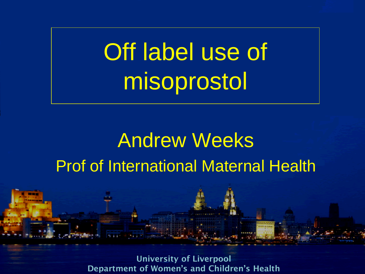Off label use of misoprostol

### Andrew Weeks Prof of International Maternal Health

**University of Liverpool Department of Women's and Children's Health**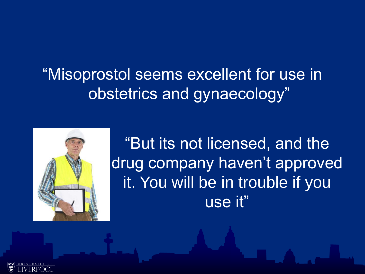"Misoprostol seems excellent for use in obstetrics and gynaecology"



"But its not licensed, and the drug company haven't approved it. You will be in trouble if you use it"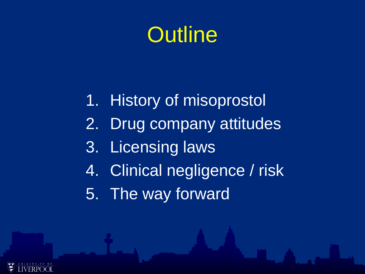### **Outline**

- 1. History of misoprostol
- 2. Drug company attitudes
- 3. Licensing laws
- 4. Clinical negligence / risk
- 5. The way forward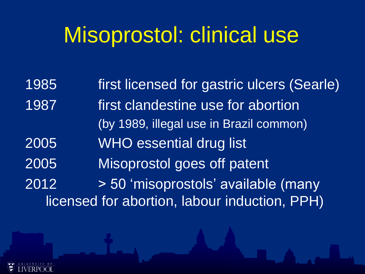### Misoprostol: clinical use

1985 first licensed for gastric ulcers (Searle) 1987 first clandestine use for abortion (by 1989, illegal use in Brazil common) 2005 WHO essential drug list 2005 Misoprostol goes off patent 2012 > 50 'misoprostols' available (many licensed for abortion, labour induction, PPH)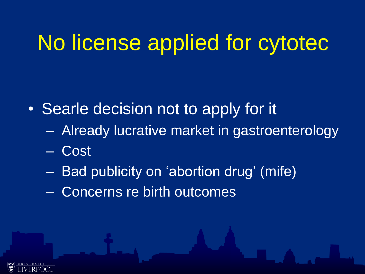## No license applied for cytotec

- Searle decision not to apply for it
	- Already lucrative market in gastroenterology
	- Cost
	- Bad publicity on 'abortion drug' (mife)
	- Concerns re birth outcomes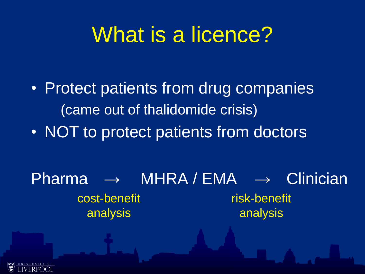### What is a licence?

- Protect patients from drug companies (came out of thalidomide crisis)
- NOT to protect patients from doctors

Pharma → MHRA / EMA → Clinician cost-benefit analysis risk-benefit analysis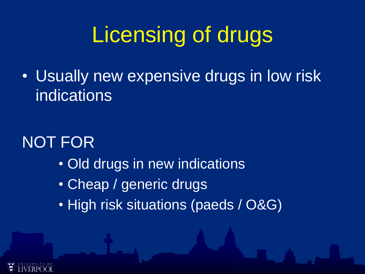## Licensing of drugs

• Usually new expensive drugs in low risk indications

### NOT FOR

- Old drugs in new indications
- Cheap / generic drugs
- High risk situations (paeds / O&G)

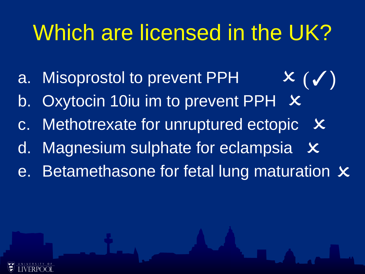## Which are licensed in the UK?

 $\bm{X}$   $(\bm{V})$ 

- a. Misoprostol to prevent PPH
- b. Oxytocin 10iu im to prevent PPH  $\,$   $\times$
- c. Methotrexate for unruptured ectopic  $\boldsymbol{\times}$
- d. Magnesium sulphate for eclampsia  $\boldsymbol{\mathsf{x}}$
- e. Betamethasone for fetal lung maturation  $\boldsymbol{\mathsf{x}}$

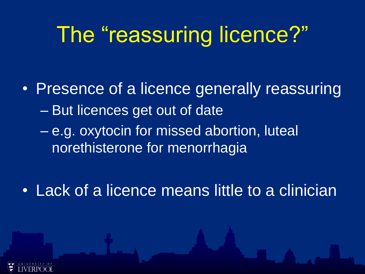### The "reassuring licence?"

- Presence of a licence generally reassuring – But licences get out of date
	- e.g. oxytocin for missed abortion, luteal norethisterone for menorrhagia
- Lack of a licence means little to a clinician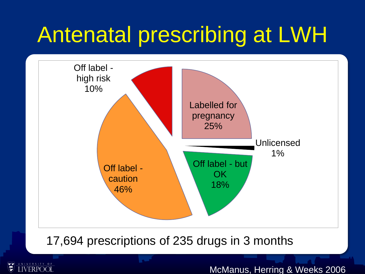## Antenatal prescribing at LWH



#### 17,694 prescriptions of 235 drugs in 3 months

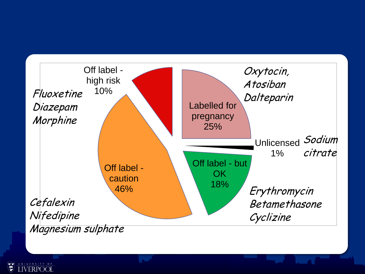

需 **IVERPOO**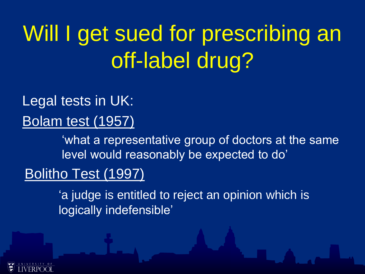## Will I get sued for prescribing an off-label drug?

### Legal tests in UK:

Bolam test (1957)

'what a representative group of doctors at the same level would reasonably be expected to do'

#### Bolitho Test (1997)

'a judge is entitled to reject an opinion which is logically indefensible'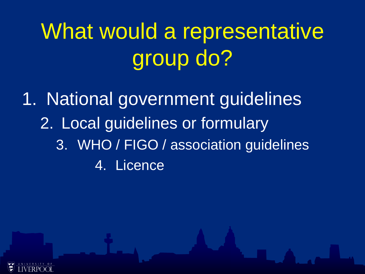## What would a representative group do?

1. National government guidelines 2. Local guidelines or formulary 3. WHO / FIGO / association guidelines 4. Licence

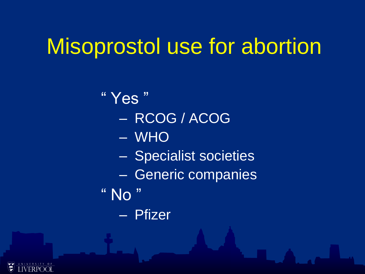### Misoprostol use for abortion

" Yes " – RCOG / ACOG – WHO – Specialist societies – Generic companies " No – Pfizer

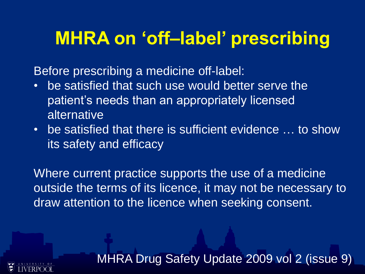### **MHRA on 'off–label' prescribing**

Before prescribing a medicine off-label:

- be satisfied that such use would better serve the patient's needs than an appropriately licensed alternative
- be satisfied that there is sufficient evidence … to show its safety and efficacy

Where current practice supports the use of a medicine outside the terms of its licence, it may not be necessary to draw attention to the licence when seeking consent.

MHRA Drug Safety Update 2009 vol 2 (issue 9)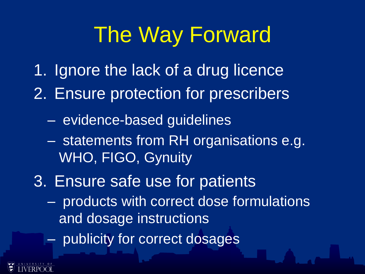### The Way Forward

- 1. Ignore the lack of a drug licence
- 2. Ensure protection for prescribers
	- evidence-based guidelines
	- statements from RH organisations e.g. WHO, FIGO, Gynuity
- 3. Ensure safe use for patients
	- products with correct dose formulations and dosage instructions
	- publicity for correct dosages